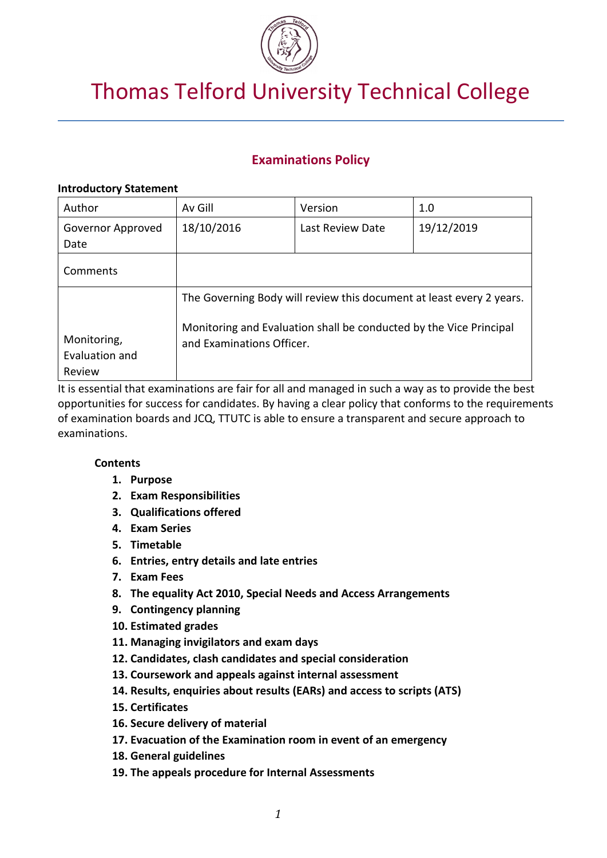

# Thomas Telford University Technical College

# **Examinations Policy**

# **Introductory Statement**

| Author                                  | Av Gill                                                                                         | Version          | 1.0        |
|-----------------------------------------|-------------------------------------------------------------------------------------------------|------------------|------------|
| Governor Approved<br>Date               | 18/10/2016                                                                                      | Last Review Date | 19/12/2019 |
| Comments                                |                                                                                                 |                  |            |
|                                         | The Governing Body will review this document at least every 2 years.                            |                  |            |
| Monitoring,<br>Evaluation and<br>Review | Monitoring and Evaluation shall be conducted by the Vice Principal<br>and Examinations Officer. |                  |            |

It is essential that examinations are fair for all and managed in such a way as to provide the best opportunities for success for candidates. By having a clear policy that conforms to the requirements of examination boards and JCQ, TTUTC is able to ensure a transparent and secure approach to examinations.

# **Contents**

- **1. Purpose**
- **2. Exam Responsibilities**
- **3. Qualifications offered**
- **4. Exam Series**
- **5. Timetable**
- **6. Entries, entry details and late entries**
- **7. Exam Fees**
- **8. The equality Act 2010, Special Needs and Access Arrangements**
- **9. Contingency planning**
- **10. Estimated grades**
- **11. Managing invigilators and exam days**
- **12. Candidates, clash candidates and special consideration**
- **13. Coursework and appeals against internal assessment**
- **14. Results, enquiries about results (EARs) and access to scripts (ATS)**
- **15. Certificates**
- **16. Secure delivery of material**
- **17. Evacuation of the Examination room in event of an emergency**
- **18. General guidelines**
- **19. The appeals procedure for Internal Assessments**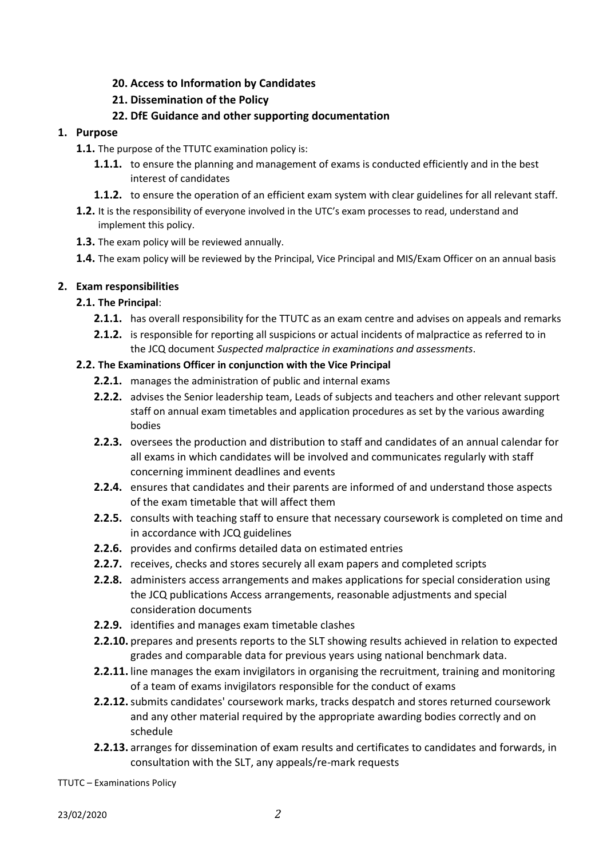# **20. Access to Information by Candidates**

# **21. Dissemination of the Policy**

# **22. DfE Guidance and other supporting documentation**

## **1. Purpose**

- **1.1.** The purpose of the TTUTC examination policy is:
	- **1.1.1.** to ensure the planning and management of exams is conducted efficiently and in the best interest of candidates
	- **1.1.2.** to ensure the operation of an efficient exam system with clear guidelines for all relevant staff.
- **1.2.** It is the responsibility of everyone involved in the UTC's exam processes to read, understand and implement this policy.
- **1.3.** The exam policy will be reviewed annually.
- **1.4.** The exam policy will be reviewed by the Principal, Vice Principal and MIS/Exam Officer on an annual basis

# **2. Exam responsibilities**

# **2.1. The Principal**:

- **2.1.1.** has overall responsibility for the TTUTC as an exam centre and advises on appeals and remarks
- **2.1.2.** is responsible for reporting all suspicions or actual incidents of malpractice as referred to in the JCQ document *Suspected malpractice in examinations and assessments*.

# **2.2. The Examinations Officer in conjunction with the Vice Principal**

- **2.2.1.** manages the administration of public and internal exams
- **2.2.2.** advises the Senior leadership team, Leads of subjects and teachers and other relevant support staff on annual exam timetables and application procedures as set by the various awarding bodies
- **2.2.3.** oversees the production and distribution to staff and candidates of an annual calendar for all exams in which candidates will be involved and communicates regularly with staff concerning imminent deadlines and events
- **2.2.4.** ensures that candidates and their parents are informed of and understand those aspects of the exam timetable that will affect them
- **2.2.5.** consults with teaching staff to ensure that necessary coursework is completed on time and in accordance with JCQ guidelines
- **2.2.6.** provides and confirms detailed data on estimated entries
- **2.2.7.** receives, checks and stores securely all exam papers and completed scripts
- **2.2.8.** administers access arrangements and makes applications for special consideration using the JCQ publications Access arrangements, reasonable adjustments and special consideration documents
- **2.2.9.** identifies and manages exam timetable clashes
- **2.2.10.** prepares and presents reports to the SLT showing results achieved in relation to expected grades and comparable data for previous years using national benchmark data.
- **2.2.11.** line manages the exam invigilators in organising the recruitment, training and monitoring of a team of exams invigilators responsible for the conduct of exams
- **2.2.12.**submits candidates' coursework marks, tracks despatch and stores returned coursework and any other material required by the appropriate awarding bodies correctly and on schedule
- **2.2.13.** arranges for dissemination of exam results and certificates to candidates and forwards, in consultation with the SLT, any appeals/re-mark requests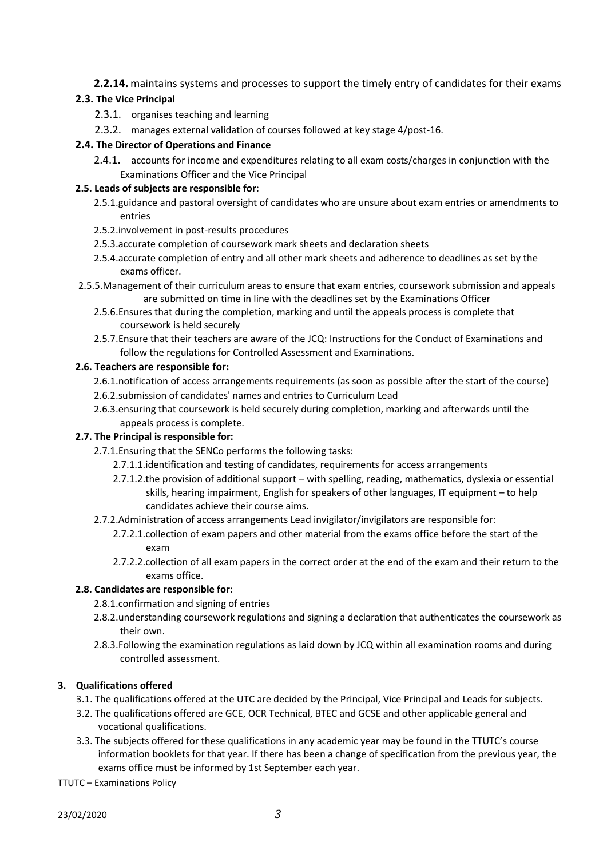## **2.2.14.** maintains systems and processes to support the timely entry of candidates for their exams

#### **2.3. The Vice Principal**

- 2.3.1. organises teaching and learning
- 2.3.2. manages external validation of courses followed at key stage 4/post-16.

### **2.4. The Director of Operations and Finance**

2.4.1. accounts for income and expenditures relating to all exam costs/charges in conjunction with the Examinations Officer and the Vice Principal

#### **2.5. Leads of subjects are responsible for:**

- 2.5.1.guidance and pastoral oversight of candidates who are unsure about exam entries or amendments to entries
- 2.5.2.involvement in post-results procedures
- 2.5.3.accurate completion of coursework mark sheets and declaration sheets
- 2.5.4.accurate completion of entry and all other mark sheets and adherence to deadlines as set by the exams officer.
- 2.5.5.Management of their curriculum areas to ensure that exam entries, coursework submission and appeals are submitted on time in line with the deadlines set by the Examinations Officer
	- 2.5.6.Ensures that during the completion, marking and until the appeals process is complete that coursework is held securely
	- 2.5.7.Ensure that their teachers are aware of the JCQ: Instructions for the Conduct of Examinations and follow the regulations for Controlled Assessment and Examinations.

### **2.6. Teachers are responsible for:**

- 2.6.1.notification of access arrangements requirements (as soon as possible after the start of the course)
- 2.6.2.submission of candidates' names and entries to Curriculum Lead
- 2.6.3.ensuring that coursework is held securely during completion, marking and afterwards until the appeals process is complete.

#### **2.7. The Principal is responsible for:**

- 2.7.1.Ensuring that the SENCo performs the following tasks:
	- 2.7.1.1.identification and testing of candidates, requirements for access arrangements
	- 2.7.1.2.the provision of additional support with spelling, reading, mathematics, dyslexia or essential skills, hearing impairment, English for speakers of other languages, IT equipment – to help candidates achieve their course aims.
- 2.7.2.Administration of access arrangements Lead invigilator/invigilators are responsible for:
	- 2.7.2.1.collection of exam papers and other material from the exams office before the start of the exam
	- 2.7.2.2.collection of all exam papers in the correct order at the end of the exam and their return to the exams office.

# **2.8. Candidates are responsible for:**

- 2.8.1.confirmation and signing of entries
- 2.8.2.understanding coursework regulations and signing a declaration that authenticates the coursework as their own.
- 2.8.3.Following the examination regulations as laid down by JCQ within all examination rooms and during controlled assessment.

# **3. Qualifications offered**

- 3.1. The qualifications offered at the UTC are decided by the Principal, Vice Principal and Leads for subjects.
- 3.2. The qualifications offered are GCE, OCR Technical, BTEC and GCSE and other applicable general and vocational qualifications.
- 3.3. The subjects offered for these qualifications in any academic year may be found in the TTUTC's course information booklets for that year. If there has been a change of specification from the previous year, the exams office must be informed by 1st September each year.
- TTUTC Examinations Policy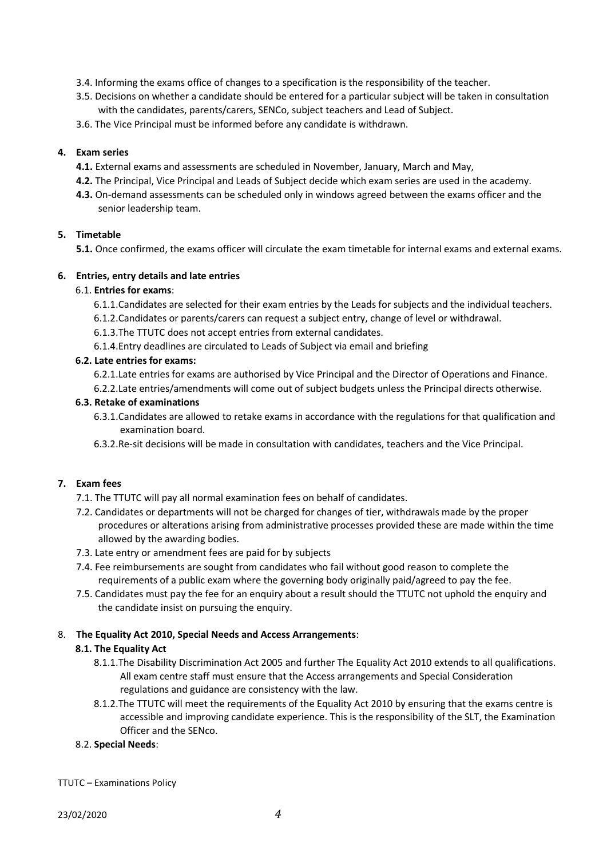- 3.4. Informing the exams office of changes to a specification is the responsibility of the teacher.
- 3.5. Decisions on whether a candidate should be entered for a particular subject will be taken in consultation with the candidates, parents/carers, SENCo, subject teachers and Lead of Subject.
- 3.6. The Vice Principal must be informed before any candidate is withdrawn.

#### **4. Exam series**

- **4.1.** External exams and assessments are scheduled in November, January, March and May,
- **4.2.** The Principal, Vice Principal and Leads of Subject decide which exam series are used in the academy.
- **4.3.** On-demand assessments can be scheduled only in windows agreed between the exams officer and the senior leadership team.

#### **5. Timetable**

**5.1.** Once confirmed, the exams officer will circulate the exam timetable for internal exams and external exams.

#### **6. Entries, entry details and late entries**

#### 6.1. **Entries for exams**:

- 6.1.1.Candidates are selected for their exam entries by the Leads for subjects and the individual teachers.
- 6.1.2.Candidates or parents/carers can request a subject entry, change of level or withdrawal.
- 6.1.3.The TTUTC does not accept entries from external candidates.
- 6.1.4.Entry deadlines are circulated to Leads of Subject via email and briefing

#### **6.2. Late entries for exams:**

- 6.2.1.Late entries for exams are authorised by Vice Principal and the Director of Operations and Finance.
- 6.2.2.Late entries/amendments will come out of subject budgets unless the Principal directs otherwise.

#### **6.3. Retake of examinations**

- 6.3.1.Candidates are allowed to retake exams in accordance with the regulations for that qualification and examination board.
- 6.3.2.Re-sit decisions will be made in consultation with candidates, teachers and the Vice Principal.

#### **7. Exam fees**

- 7.1. The TTUTC will pay all normal examination fees on behalf of candidates.
- 7.2. Candidates or departments will not be charged for changes of tier, withdrawals made by the proper procedures or alterations arising from administrative processes provided these are made within the time allowed by the awarding bodies.
- 7.3. Late entry or amendment fees are paid for by subjects
- 7.4. Fee reimbursements are sought from candidates who fail without good reason to complete the requirements of a public exam where the governing body originally paid/agreed to pay the fee.
- 7.5. Candidates must pay the fee for an enquiry about a result should the TTUTC not uphold the enquiry and the candidate insist on pursuing the enquiry.

#### 8. **The Equality Act 2010, Special Needs and Access Arrangements**:

#### **8.1. The Equality Act**

- 8.1.1.The Disability Discrimination Act 2005 and further The Equality Act 2010 extends to all qualifications. All exam centre staff must ensure that the Access arrangements and Special Consideration regulations and guidance are consistency with the law.
- 8.1.2.The TTUTC will meet the requirements of the Equality Act 2010 by ensuring that the exams centre is accessible and improving candidate experience. This is the responsibility of the SLT, the Examination Officer and the SENco.

#### 8.2. **Special Needs**: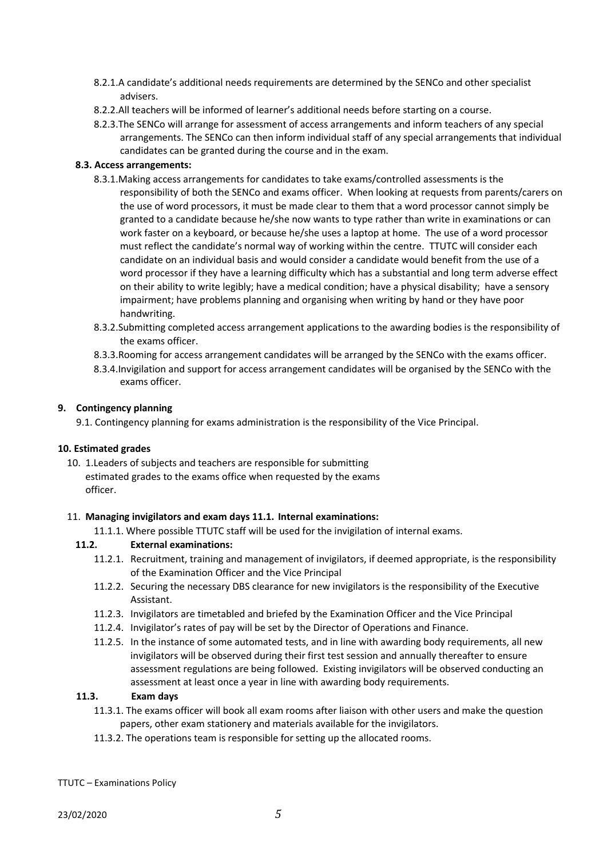- 8.2.1.A candidate's additional needs requirements are determined by the SENCo and other specialist advisers.
- 8.2.2.All teachers will be informed of learner's additional needs before starting on a course.
- 8.2.3.The SENCo will arrange for assessment of access arrangements and inform teachers of any special arrangements. The SENCo can then inform individual staff of any special arrangements that individual candidates can be granted during the course and in the exam.

#### **8.3. Access arrangements:**

- 8.3.1.Making access arrangements for candidates to take exams/controlled assessments is the responsibility of both the SENCo and exams officer. When looking at requests from parents/carers on the use of word processors, it must be made clear to them that a word processor cannot simply be granted to a candidate because he/she now wants to type rather than write in examinations or can work faster on a keyboard, or because he/she uses a laptop at home. The use of a word processor must reflect the candidate's normal way of working within the centre. TTUTC will consider each candidate on an individual basis and would consider a candidate would benefit from the use of a word processor if they have a learning difficulty which has a substantial and long term adverse effect on their ability to write legibly; have a medical condition; have a physical disability; have a sensory impairment; have problems planning and organising when writing by hand or they have poor handwriting.
- 8.3.2.Submitting completed access arrangement applications to the awarding bodies is the responsibility of the exams officer.
- 8.3.3.Rooming for access arrangement candidates will be arranged by the SENCo with the exams officer.
- 8.3.4.Invigilation and support for access arrangement candidates will be organised by the SENCo with the exams officer.

#### **9. Contingency planning**

9.1. Contingency planning for exams administration is the responsibility of the Vice Principal.

#### **10. Estimated grades**

10. 1.Leaders of subjects and teachers are responsible for submitting estimated grades to the exams office when requested by the exams officer.

#### 11. **Managing invigilators and exam days 11.1. Internal examinations:**

11.1.1. Where possible TTUTC staff will be used for the invigilation of internal exams.

#### **11.2. External examinations:**

- 11.2.1. Recruitment, training and management of invigilators, if deemed appropriate, is the responsibility of the Examination Officer and the Vice Principal
- 11.2.2. Securing the necessary DBS clearance for new invigilators is the responsibility of the Executive Assistant.
- 11.2.3. Invigilators are timetabled and briefed by the Examination Officer and the Vice Principal
- 11.2.4. Invigilator's rates of pay will be set by the Director of Operations and Finance.
- 11.2.5. In the instance of some automated tests, and in line with awarding body requirements, all new invigilators will be observed during their first test session and annually thereafter to ensure assessment regulations are being followed. Existing invigilators will be observed conducting an assessment at least once a year in line with awarding body requirements.

#### **11.3. Exam days**

- 11.3.1. The exams officer will book all exam rooms after liaison with other users and make the question papers, other exam stationery and materials available for the invigilators.
- 11.3.2. The operations team is responsible for setting up the allocated rooms.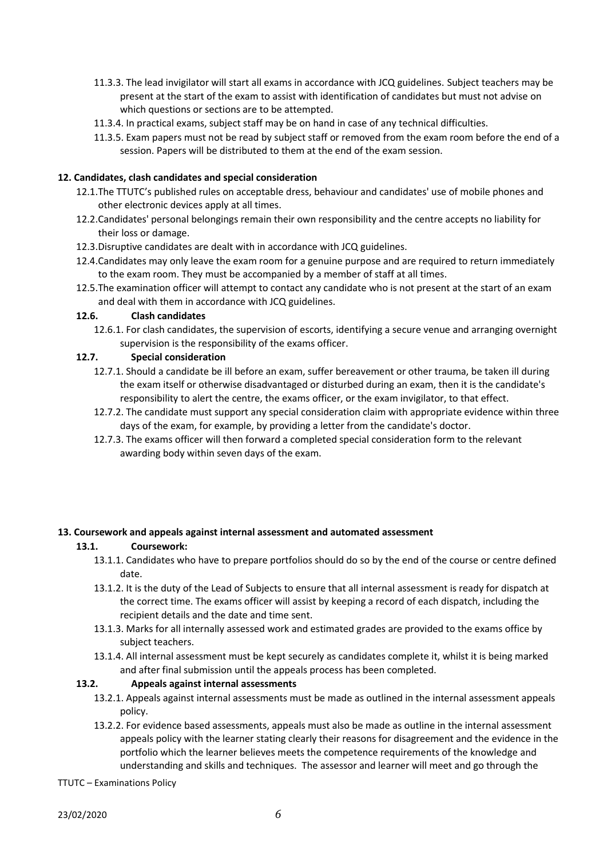- 11.3.3. The lead invigilator will start all exams in accordance with JCQ guidelines. Subject teachers may be present at the start of the exam to assist with identification of candidates but must not advise on which questions or sections are to be attempted.
- 11.3.4. In practical exams, subject staff may be on hand in case of any technical difficulties.
- 11.3.5. Exam papers must not be read by subject staff or removed from the exam room before the end of a session. Papers will be distributed to them at the end of the exam session.

### **12. Candidates, clash candidates and special consideration**

- 12.1.The TTUTC's published rules on acceptable dress, behaviour and candidates' use of mobile phones and other electronic devices apply at all times.
- 12.2.Candidates' personal belongings remain their own responsibility and the centre accepts no liability for their loss or damage.
- 12.3.Disruptive candidates are dealt with in accordance with JCQ guidelines.
- 12.4.Candidates may only leave the exam room for a genuine purpose and are required to return immediately to the exam room. They must be accompanied by a member of staff at all times.
- 12.5.The examination officer will attempt to contact any candidate who is not present at the start of an exam and deal with them in accordance with JCQ guidelines.

#### **12.6. Clash candidates**

12.6.1. For clash candidates, the supervision of escorts, identifying a secure venue and arranging overnight supervision is the responsibility of the exams officer.

#### **12.7. Special consideration**

- 12.7.1. Should a candidate be ill before an exam, suffer bereavement or other trauma, be taken ill during the exam itself or otherwise disadvantaged or disturbed during an exam, then it is the candidate's responsibility to alert the centre, the exams officer, or the exam invigilator, to that effect.
- 12.7.2. The candidate must support any special consideration claim with appropriate evidence within three days of the exam, for example, by providing a letter from the candidate's doctor.
- 12.7.3. The exams officer will then forward a completed special consideration form to the relevant awarding body within seven days of the exam.

#### **13. Coursework and appeals against internal assessment and automated assessment**

#### **13.1. Coursework:**

- 13.1.1. Candidates who have to prepare portfolios should do so by the end of the course or centre defined date.
- 13.1.2. It is the duty of the Lead of Subjects to ensure that all internal assessment is ready for dispatch at the correct time. The exams officer will assist by keeping a record of each dispatch, including the recipient details and the date and time sent.
- 13.1.3. Marks for all internally assessed work and estimated grades are provided to the exams office by subject teachers.
- 13.1.4. All internal assessment must be kept securely as candidates complete it, whilst it is being marked and after final submission until the appeals process has been completed.

#### **13.2. Appeals against internal assessments**

- 13.2.1. Appeals against internal assessments must be made as outlined in the internal assessment appeals policy.
- 13.2.2. For evidence based assessments, appeals must also be made as outline in the internal assessment appeals policy with the learner stating clearly their reasons for disagreement and the evidence in the portfolio which the learner believes meets the competence requirements of the knowledge and understanding and skills and techniques. The assessor and learner will meet and go through the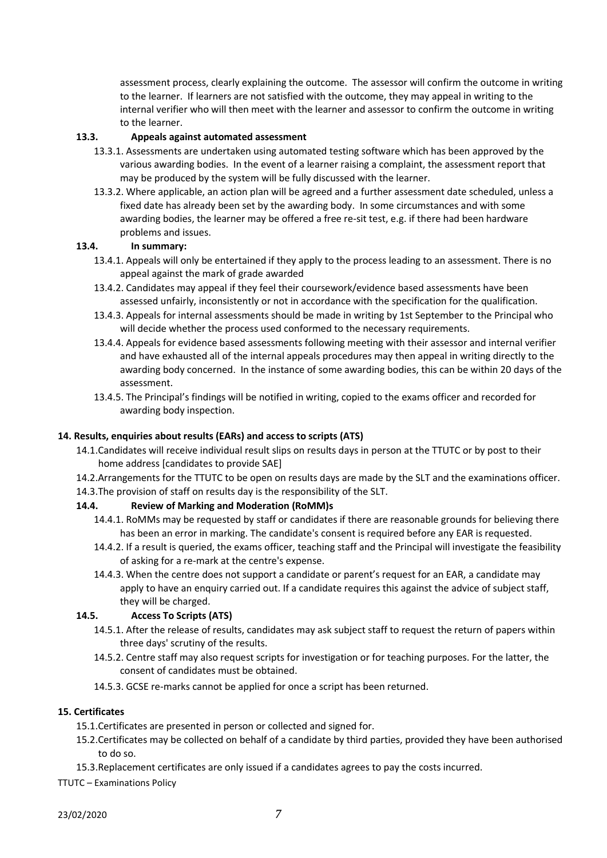assessment process, clearly explaining the outcome. The assessor will confirm the outcome in writing to the learner. If learners are not satisfied with the outcome, they may appeal in writing to the internal verifier who will then meet with the learner and assessor to confirm the outcome in writing to the learner.

#### **13.3. Appeals against automated assessment**

- 13.3.1. Assessments are undertaken using automated testing software which has been approved by the various awarding bodies. In the event of a learner raising a complaint, the assessment report that may be produced by the system will be fully discussed with the learner.
- 13.3.2. Where applicable, an action plan will be agreed and a further assessment date scheduled, unless a fixed date has already been set by the awarding body. In some circumstances and with some awarding bodies, the learner may be offered a free re-sit test, e.g. if there had been hardware problems and issues.

### **13.4. In summary:**

- 13.4.1. Appeals will only be entertained if they apply to the process leading to an assessment. There is no appeal against the mark of grade awarded
- 13.4.2. Candidates may appeal if they feel their coursework/evidence based assessments have been assessed unfairly, inconsistently or not in accordance with the specification for the qualification.
- 13.4.3. Appeals for internal assessments should be made in writing by 1st September to the Principal who will decide whether the process used conformed to the necessary requirements.
- 13.4.4. Appeals for evidence based assessments following meeting with their assessor and internal verifier and have exhausted all of the internal appeals procedures may then appeal in writing directly to the awarding body concerned. In the instance of some awarding bodies, this can be within 20 days of the assessment.
- 13.4.5. The Principal's findings will be notified in writing, copied to the exams officer and recorded for awarding body inspection.

# **14. Results, enquiries about results (EARs) and access to scripts (ATS)**

- 14.1.Candidates will receive individual result slips on results days in person at the TTUTC or by post to their home address [candidates to provide SAE]
- 14.2.Arrangements for the TTUTC to be open on results days are made by the SLT and the examinations officer. 14.3.The provision of staff on results day is the responsibility of the SLT.

# **14.4. Review of Marking and Moderation (RoMM)s**

- 14.4.1. RoMMs may be requested by staff or candidates if there are reasonable grounds for believing there has been an error in marking. The candidate's consent is required before any EAR is requested.
- 14.4.2. If a result is queried, the exams officer, teaching staff and the Principal will investigate the feasibility of asking for a re-mark at the centre's expense.
- 14.4.3. When the centre does not support a candidate or parent's request for an EAR, a candidate may apply to have an enquiry carried out. If a candidate requires this against the advice of subject staff, they will be charged.

#### **14.5. Access To Scripts (ATS)**

- 14.5.1. After the release of results, candidates may ask subject staff to request the return of papers within three days' scrutiny of the results.
- 14.5.2. Centre staff may also request scripts for investigation or for teaching purposes. For the latter, the consent of candidates must be obtained.
- 14.5.3. GCSE re-marks cannot be applied for once a script has been returned.

#### **15. Certificates**

15.1.Certificates are presented in person or collected and signed for.

- 15.2.Certificates may be collected on behalf of a candidate by third parties, provided they have been authorised to do so.
- 15.3.Replacement certificates are only issued if a candidates agrees to pay the costs incurred.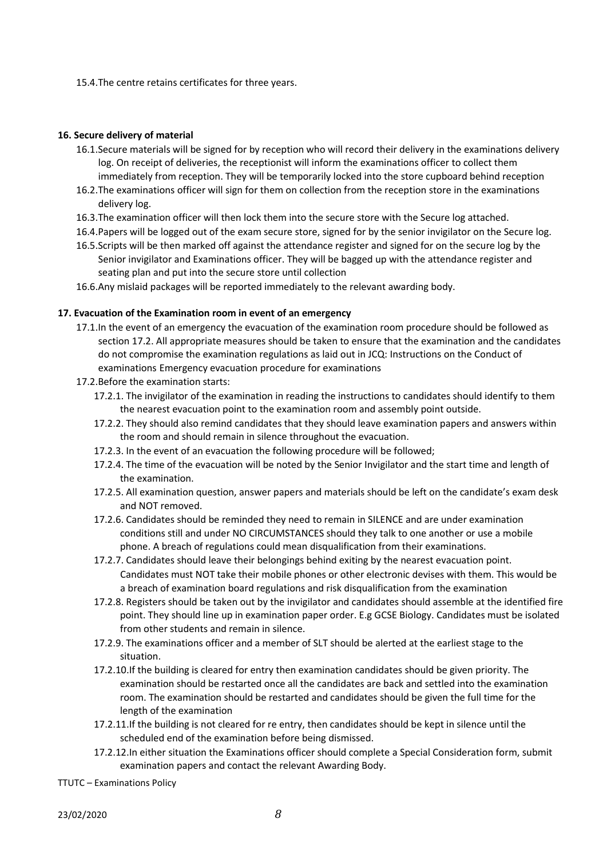15.4.The centre retains certificates for three years.

#### **16. Secure delivery of material**

- 16.1.Secure materials will be signed for by reception who will record their delivery in the examinations delivery log. On receipt of deliveries, the receptionist will inform the examinations officer to collect them immediately from reception. They will be temporarily locked into the store cupboard behind reception
- 16.2.The examinations officer will sign for them on collection from the reception store in the examinations delivery log.
- 16.3.The examination officer will then lock them into the secure store with the Secure log attached.
- 16.4.Papers will be logged out of the exam secure store, signed for by the senior invigilator on the Secure log.
- 16.5.Scripts will be then marked off against the attendance register and signed for on the secure log by the Senior invigilator and Examinations officer. They will be bagged up with the attendance register and seating plan and put into the secure store until collection
- 16.6.Any mislaid packages will be reported immediately to the relevant awarding body.

#### **17. Evacuation of the Examination room in event of an emergency**

- 17.1.In the event of an emergency the evacuation of the examination room procedure should be followed as section 17.2. All appropriate measures should be taken to ensure that the examination and the candidates do not compromise the examination regulations as laid out in JCQ: Instructions on the Conduct of examinations Emergency evacuation procedure for examinations
- 17.2.Before the examination starts:
	- 17.2.1. The invigilator of the examination in reading the instructions to candidates should identify to them the nearest evacuation point to the examination room and assembly point outside.
	- 17.2.2. They should also remind candidates that they should leave examination papers and answers within the room and should remain in silence throughout the evacuation.
	- 17.2.3. In the event of an evacuation the following procedure will be followed;
	- 17.2.4. The time of the evacuation will be noted by the Senior Invigilator and the start time and length of the examination.
	- 17.2.5. All examination question, answer papers and materials should be left on the candidate's exam desk and NOT removed.
	- 17.2.6. Candidates should be reminded they need to remain in SILENCE and are under examination conditions still and under NO CIRCUMSTANCES should they talk to one another or use a mobile phone. A breach of regulations could mean disqualification from their examinations.
	- 17.2.7. Candidates should leave their belongings behind exiting by the nearest evacuation point. Candidates must NOT take their mobile phones or other electronic devises with them. This would be a breach of examination board regulations and risk disqualification from the examination
	- 17.2.8. Registers should be taken out by the invigilator and candidates should assemble at the identified fire point. They should line up in examination paper order. E.g GCSE Biology. Candidates must be isolated from other students and remain in silence.
	- 17.2.9. The examinations officer and a member of SLT should be alerted at the earliest stage to the situation.
	- 17.2.10.If the building is cleared for entry then examination candidates should be given priority. The examination should be restarted once all the candidates are back and settled into the examination room. The examination should be restarted and candidates should be given the full time for the length of the examination
	- 17.2.11.If the building is not cleared for re entry, then candidates should be kept in silence until the scheduled end of the examination before being dismissed.
	- 17.2.12.In either situation the Examinations officer should complete a Special Consideration form, submit examination papers and contact the relevant Awarding Body.